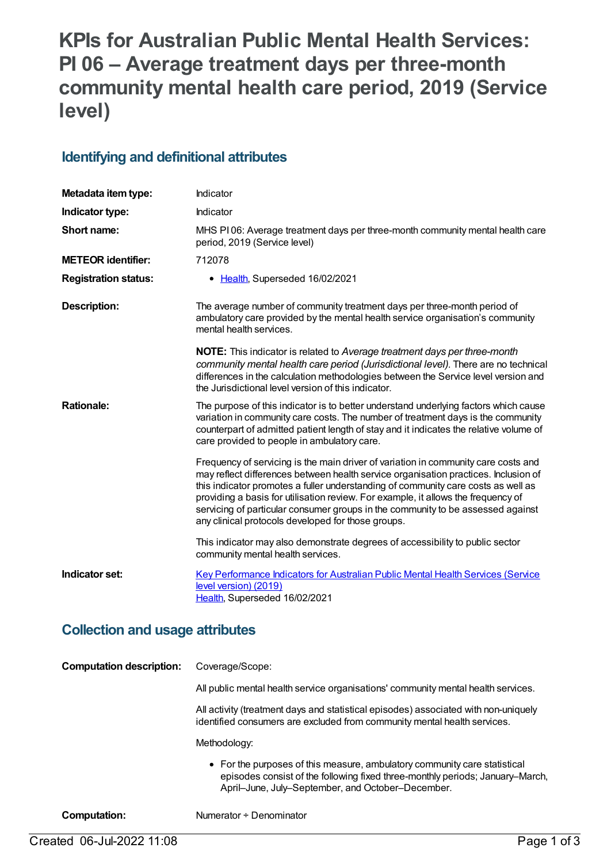# **KPIs for Australian Public Mental Health Services: PI 06 – Average treatment days per three-month community mental health care period, 2019 (Service level)**

#### **Identifying and definitional attributes**

| Metadata item type:         | Indicator                                                                                                                                                                                                                                                                                                                                                                                                                                                                                    |
|-----------------------------|----------------------------------------------------------------------------------------------------------------------------------------------------------------------------------------------------------------------------------------------------------------------------------------------------------------------------------------------------------------------------------------------------------------------------------------------------------------------------------------------|
| Indicator type:             | Indicator                                                                                                                                                                                                                                                                                                                                                                                                                                                                                    |
| Short name:                 | MHS PI06: Average treatment days per three-month community mental health care<br>period, 2019 (Service level)                                                                                                                                                                                                                                                                                                                                                                                |
| <b>METEOR identifier:</b>   | 712078                                                                                                                                                                                                                                                                                                                                                                                                                                                                                       |
| <b>Registration status:</b> | • Health, Superseded 16/02/2021                                                                                                                                                                                                                                                                                                                                                                                                                                                              |
| <b>Description:</b>         | The average number of community treatment days per three-month period of<br>ambulatory care provided by the mental health service organisation's community<br>mental health services.                                                                                                                                                                                                                                                                                                        |
|                             | NOTE: This indicator is related to Average treatment days per three-month<br>community mental health care period (Jurisdictional level). There are no technical<br>differences in the calculation methodologies between the Service level version and<br>the Jurisdictional level version of this indicator.                                                                                                                                                                                 |
| <b>Rationale:</b>           | The purpose of this indicator is to better understand underlying factors which cause<br>variation in community care costs. The number of treatment days is the community<br>counterpart of admitted patient length of stay and it indicates the relative volume of<br>care provided to people in ambulatory care.                                                                                                                                                                            |
|                             | Frequency of servicing is the main driver of variation in community care costs and<br>may reflect differences between health service organisation practices. Inclusion of<br>this indicator promotes a fuller understanding of community care costs as well as<br>providing a basis for utilisation review. For example, it allows the frequency of<br>servicing of particular consumer groups in the community to be assessed against<br>any clinical protocols developed for those groups. |
|                             | This indicator may also demonstrate degrees of accessibility to public sector<br>community mental health services.                                                                                                                                                                                                                                                                                                                                                                           |
| Indicator set:              | Key Performance Indicators for Australian Public Mental Health Services (Service<br>level version) (2019)<br>Health, Superseded 16/02/2021                                                                                                                                                                                                                                                                                                                                                   |

#### **Collection and usage attributes**

| <b>Computation description:</b> | Coverage/Scope:                                                                                                                                                                                                 |
|---------------------------------|-----------------------------------------------------------------------------------------------------------------------------------------------------------------------------------------------------------------|
|                                 | All public mental health service organisations' community mental health services.                                                                                                                               |
|                                 | All activity (treatment days and statistical episodes) associated with non-uniquely<br>identified consumers are excluded from community mental health services.                                                 |
|                                 | Methodology:                                                                                                                                                                                                    |
|                                 | • For the purposes of this measure, ambulatory community care statistical<br>episodes consist of the following fixed three-monthly periods; January–March,<br>April–June, July–September, and October–December. |
| Computation:                    | Numerator ÷ Denominator                                                                                                                                                                                         |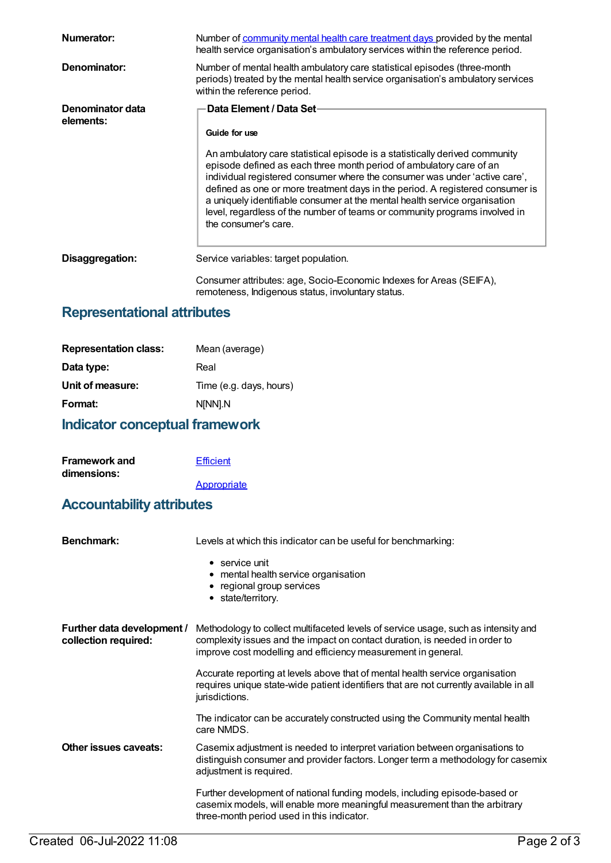| Numerator:                    | Number of community mental health care treatment days provided by the mental<br>health service organisation's ambulatory services within the reference period.                                                                                                                                                                                                                                                                                                                                                                                     |
|-------------------------------|----------------------------------------------------------------------------------------------------------------------------------------------------------------------------------------------------------------------------------------------------------------------------------------------------------------------------------------------------------------------------------------------------------------------------------------------------------------------------------------------------------------------------------------------------|
| Denominator:                  | Number of mental health ambulatory care statistical episodes (three-month<br>periods) treated by the mental health service organisation's ambulatory services<br>within the reference period.                                                                                                                                                                                                                                                                                                                                                      |
| Denominator data<br>elements: | Data Element / Data Set-<br>Guide for use<br>An ambulatory care statistical episode is a statistically derived community<br>episode defined as each three month period of ambulatory care of an<br>individual registered consumer where the consumer was under 'active care',<br>defined as one or more treatment days in the period. A registered consumer is<br>a uniquely identifiable consumer at the mental health service organisation<br>level, regardless of the number of teams or community programs involved in<br>the consumer's care. |
| Disaggregation:               | Service variables: target population.<br>Consumer attributes: age, Socio-Economic Indexes for Areas (SEIFA),<br>remoteness, Indigenous status, involuntary status.                                                                                                                                                                                                                                                                                                                                                                                 |

## **Representational attributes**

| <b>Representation class:</b> | Mean (average)          |
|------------------------------|-------------------------|
| Data type:                   | Real                    |
| Unit of measure:             | Time (e.g. days, hours) |
| Format:                      | N[NN].N                 |
|                              |                         |

## **Indicator conceptual framework**

| <b>Framework and</b> | <b>Efficient</b> |
|----------------------|------------------|
| dimensions:          |                  |
|                      | Appropriate      |

## **Accountability attributes**

| <b>Benchmark:</b>                                  | Levels at which this indicator can be useful for benchmarking:                                                                                                                                                                     |
|----------------------------------------------------|------------------------------------------------------------------------------------------------------------------------------------------------------------------------------------------------------------------------------------|
|                                                    | $\bullet$ service unit<br>• mental health service organisation<br>• regional group services<br>• state/territory.                                                                                                                  |
| Further data development /<br>collection required: | Methodology to collect multifaceted levels of service usage, such as intensity and<br>complexity issues and the impact on contact duration, is needed in order to<br>improve cost modelling and efficiency measurement in general. |
|                                                    | Accurate reporting at levels above that of mental health service organisation<br>requires unique state-wide patient identifiers that are not currently available in all<br>jurisdictions.                                          |
|                                                    | The indicator can be accurately constructed using the Community mental health<br>care NMDS.                                                                                                                                        |
| Other issues caveats:                              | Casemix adjustment is needed to interpret variation between organisations to<br>distinguish consumer and provider factors. Longer term a methodology for casemix<br>adjustment is required.                                        |
|                                                    | Further development of national funding models, including episode-based or<br>casemix models, will enable more meaningful measurement than the arbitrary<br>three-month period used in this indicator.                             |